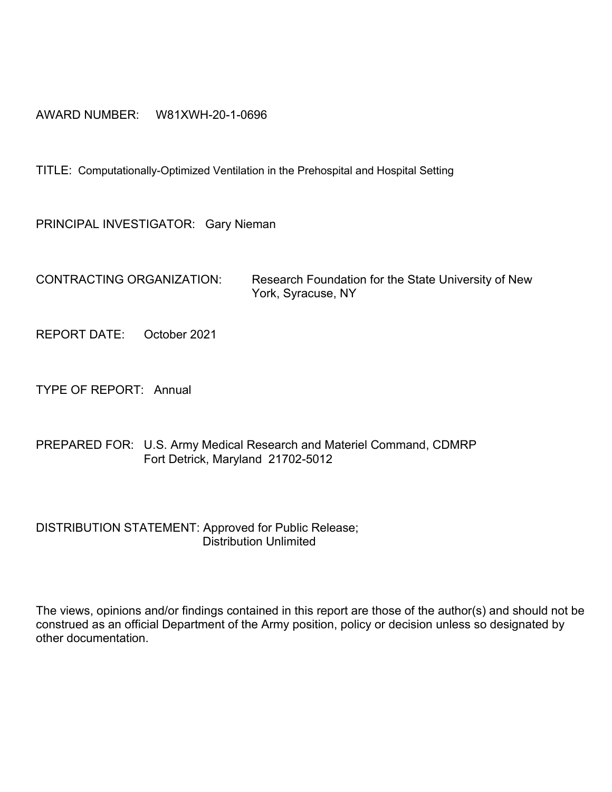#### AWARD NUMBER: W81XWH-20-1-0696

TITLE: Computationally-Optimized Ventilation in the Prehospital and Hospital Setting

PRINCIPAL INVESTIGATOR: Gary Nieman

CONTRACTING ORGANIZATION: Research Foundation for the State University of New York, Syracuse, NY

REPORT DATE: October 2021

TYPE OF REPORT: Annual

PREPARED FOR: U.S. Army Medical Research and Materiel Command, CDMRP Fort Detrick, Maryland 21702-5012

DISTRIBUTION STATEMENT: Approved for Public Release; Distribution Unlimited

The views, opinions and/or findings contained in this report are those of the author(s) and should not be construed as an official Department of the Army position, policy or decision unless so designated by other documentation.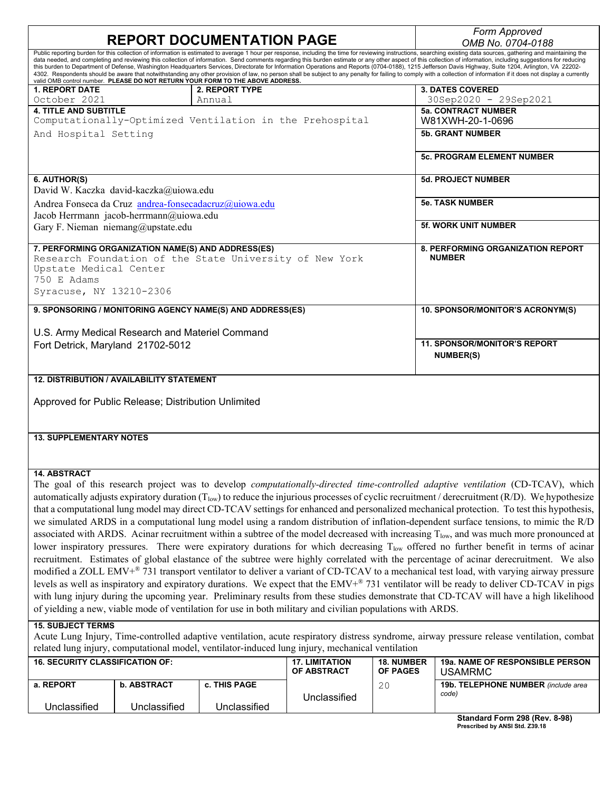| <b>REPORT DOCUMENTATION PAGE</b>                                                                                                                                                                                                                                                                                                                                                                                                                                                                                                                                                                                                                                                                                                                                                                                                                                                                                                                                                                                                                                                                                                                                                                                                                                                                                                                                                                                                                                                                                                                                                                                                                                                                                                                                                                                                                                          |                                                  |                                                                                |                                      | Form Approved          |                                                                                                                                                                                                                                                                                                                                                                                                                                                                                                                                                                                                                                                      |
|---------------------------------------------------------------------------------------------------------------------------------------------------------------------------------------------------------------------------------------------------------------------------------------------------------------------------------------------------------------------------------------------------------------------------------------------------------------------------------------------------------------------------------------------------------------------------------------------------------------------------------------------------------------------------------------------------------------------------------------------------------------------------------------------------------------------------------------------------------------------------------------------------------------------------------------------------------------------------------------------------------------------------------------------------------------------------------------------------------------------------------------------------------------------------------------------------------------------------------------------------------------------------------------------------------------------------------------------------------------------------------------------------------------------------------------------------------------------------------------------------------------------------------------------------------------------------------------------------------------------------------------------------------------------------------------------------------------------------------------------------------------------------------------------------------------------------------------------------------------------------|--------------------------------------------------|--------------------------------------------------------------------------------|--------------------------------------|------------------------|------------------------------------------------------------------------------------------------------------------------------------------------------------------------------------------------------------------------------------------------------------------------------------------------------------------------------------------------------------------------------------------------------------------------------------------------------------------------------------------------------------------------------------------------------------------------------------------------------------------------------------------------------|
| Public reporting burden for this collection of information is estimated to average 1 hour per response, including the time for reviewing instructions, searching existing data sources, gathering and maintaining the                                                                                                                                                                                                                                                                                                                                                                                                                                                                                                                                                                                                                                                                                                                                                                                                                                                                                                                                                                                                                                                                                                                                                                                                                                                                                                                                                                                                                                                                                                                                                                                                                                                     |                                                  |                                                                                |                                      |                        | OMB No. 0704-0188                                                                                                                                                                                                                                                                                                                                                                                                                                                                                                                                                                                                                                    |
|                                                                                                                                                                                                                                                                                                                                                                                                                                                                                                                                                                                                                                                                                                                                                                                                                                                                                                                                                                                                                                                                                                                                                                                                                                                                                                                                                                                                                                                                                                                                                                                                                                                                                                                                                                                                                                                                           |                                                  | valid OMB control number. PLEASE DO NOT RETURN YOUR FORM TO THE ABOVE ADDRESS. |                                      |                        | data needed, and completing and reviewing this collection of information. Send comments regarding this burden estimate or any other aspect of this collection of information, including suggestions for reducing<br>this burden to Department of Defense, Washington Headquarters Services, Directorate for Information Operations and Reports (0704-0188), 1215 Jefferson Davis Highway, Suite 1204, Arlington, VA 22202-<br>4302. Respondents should be aware that notwithstanding any other provision of law, no person shall be subject to any penalty for failing to comply with a collection of information if it does not display a currently |
| <b>1. REPORT DATE</b><br>October 2021                                                                                                                                                                                                                                                                                                                                                                                                                                                                                                                                                                                                                                                                                                                                                                                                                                                                                                                                                                                                                                                                                                                                                                                                                                                                                                                                                                                                                                                                                                                                                                                                                                                                                                                                                                                                                                     |                                                  | 2. REPORT TYPE<br>Annual                                                       |                                      |                        | <b>3. DATES COVERED</b><br>30Sep2020 - 29Sep2021                                                                                                                                                                                                                                                                                                                                                                                                                                                                                                                                                                                                     |
| <b>4. TITLE AND SUBTITLE</b>                                                                                                                                                                                                                                                                                                                                                                                                                                                                                                                                                                                                                                                                                                                                                                                                                                                                                                                                                                                                                                                                                                                                                                                                                                                                                                                                                                                                                                                                                                                                                                                                                                                                                                                                                                                                                                              |                                                  | Computationally-Optimized Ventilation in the Prehospital                       |                                      |                        | <b>5a. CONTRACT NUMBER</b><br>W81XWH-20-1-0696                                                                                                                                                                                                                                                                                                                                                                                                                                                                                                                                                                                                       |
| And Hospital Setting                                                                                                                                                                                                                                                                                                                                                                                                                                                                                                                                                                                                                                                                                                                                                                                                                                                                                                                                                                                                                                                                                                                                                                                                                                                                                                                                                                                                                                                                                                                                                                                                                                                                                                                                                                                                                                                      |                                                  |                                                                                |                                      |                        | <b>5b. GRANT NUMBER</b>                                                                                                                                                                                                                                                                                                                                                                                                                                                                                                                                                                                                                              |
|                                                                                                                                                                                                                                                                                                                                                                                                                                                                                                                                                                                                                                                                                                                                                                                                                                                                                                                                                                                                                                                                                                                                                                                                                                                                                                                                                                                                                                                                                                                                                                                                                                                                                                                                                                                                                                                                           |                                                  |                                                                                |                                      |                        | <b>5c. PROGRAM ELEMENT NUMBER</b>                                                                                                                                                                                                                                                                                                                                                                                                                                                                                                                                                                                                                    |
| 6. AUTHOR(S)                                                                                                                                                                                                                                                                                                                                                                                                                                                                                                                                                                                                                                                                                                                                                                                                                                                                                                                                                                                                                                                                                                                                                                                                                                                                                                                                                                                                                                                                                                                                                                                                                                                                                                                                                                                                                                                              |                                                  |                                                                                |                                      |                        | <b>5d. PROJECT NUMBER</b>                                                                                                                                                                                                                                                                                                                                                                                                                                                                                                                                                                                                                            |
| David W. Kaczka david-kaczka@uiowa.edu<br>Andrea Fonseca da Cruz andrea-fonsecadacruz@uiowa.edu                                                                                                                                                                                                                                                                                                                                                                                                                                                                                                                                                                                                                                                                                                                                                                                                                                                                                                                                                                                                                                                                                                                                                                                                                                                                                                                                                                                                                                                                                                                                                                                                                                                                                                                                                                           |                                                  |                                                                                |                                      |                        | <b>5e. TASK NUMBER</b>                                                                                                                                                                                                                                                                                                                                                                                                                                                                                                                                                                                                                               |
| Jacob Herrmann jacob-herrmann@uiowa.edu<br>Gary F. Nieman niemang@upstate.edu                                                                                                                                                                                                                                                                                                                                                                                                                                                                                                                                                                                                                                                                                                                                                                                                                                                                                                                                                                                                                                                                                                                                                                                                                                                                                                                                                                                                                                                                                                                                                                                                                                                                                                                                                                                             |                                                  |                                                                                |                                      |                        | <b>5f. WORK UNIT NUMBER</b>                                                                                                                                                                                                                                                                                                                                                                                                                                                                                                                                                                                                                          |
|                                                                                                                                                                                                                                                                                                                                                                                                                                                                                                                                                                                                                                                                                                                                                                                                                                                                                                                                                                                                                                                                                                                                                                                                                                                                                                                                                                                                                                                                                                                                                                                                                                                                                                                                                                                                                                                                           |                                                  |                                                                                |                                      |                        |                                                                                                                                                                                                                                                                                                                                                                                                                                                                                                                                                                                                                                                      |
| 7. PERFORMING ORGANIZATION NAME(S) AND ADDRESS(ES)<br>Research Foundation of the State University of New York<br>Upstate Medical Center<br>750 E Adams                                                                                                                                                                                                                                                                                                                                                                                                                                                                                                                                                                                                                                                                                                                                                                                                                                                                                                                                                                                                                                                                                                                                                                                                                                                                                                                                                                                                                                                                                                                                                                                                                                                                                                                    |                                                  |                                                                                |                                      |                        | <b>8. PERFORMING ORGANIZATION REPORT</b><br><b>NUMBER</b>                                                                                                                                                                                                                                                                                                                                                                                                                                                                                                                                                                                            |
| Syracuse, NY 13210-2306                                                                                                                                                                                                                                                                                                                                                                                                                                                                                                                                                                                                                                                                                                                                                                                                                                                                                                                                                                                                                                                                                                                                                                                                                                                                                                                                                                                                                                                                                                                                                                                                                                                                                                                                                                                                                                                   |                                                  |                                                                                |                                      |                        |                                                                                                                                                                                                                                                                                                                                                                                                                                                                                                                                                                                                                                                      |
|                                                                                                                                                                                                                                                                                                                                                                                                                                                                                                                                                                                                                                                                                                                                                                                                                                                                                                                                                                                                                                                                                                                                                                                                                                                                                                                                                                                                                                                                                                                                                                                                                                                                                                                                                                                                                                                                           |                                                  | 9. SPONSORING / MONITORING AGENCY NAME(S) AND ADDRESS(ES)                      |                                      |                        | 10. SPONSOR/MONITOR'S ACRONYM(S)                                                                                                                                                                                                                                                                                                                                                                                                                                                                                                                                                                                                                     |
|                                                                                                                                                                                                                                                                                                                                                                                                                                                                                                                                                                                                                                                                                                                                                                                                                                                                                                                                                                                                                                                                                                                                                                                                                                                                                                                                                                                                                                                                                                                                                                                                                                                                                                                                                                                                                                                                           |                                                  |                                                                                |                                      |                        |                                                                                                                                                                                                                                                                                                                                                                                                                                                                                                                                                                                                                                                      |
| U.S. Army Medical Research and Materiel Command<br>Fort Detrick, Maryland 21702-5012                                                                                                                                                                                                                                                                                                                                                                                                                                                                                                                                                                                                                                                                                                                                                                                                                                                                                                                                                                                                                                                                                                                                                                                                                                                                                                                                                                                                                                                                                                                                                                                                                                                                                                                                                                                      |                                                  |                                                                                |                                      |                        | <b>11. SPONSOR/MONITOR'S REPORT</b><br><b>NUMBER(S)</b>                                                                                                                                                                                                                                                                                                                                                                                                                                                                                                                                                                                              |
|                                                                                                                                                                                                                                                                                                                                                                                                                                                                                                                                                                                                                                                                                                                                                                                                                                                                                                                                                                                                                                                                                                                                                                                                                                                                                                                                                                                                                                                                                                                                                                                                                                                                                                                                                                                                                                                                           | <b>12. DISTRIBUTION / AVAILABILITY STATEMENT</b> |                                                                                |                                      |                        |                                                                                                                                                                                                                                                                                                                                                                                                                                                                                                                                                                                                                                                      |
| Approved for Public Release; Distribution Unlimited                                                                                                                                                                                                                                                                                                                                                                                                                                                                                                                                                                                                                                                                                                                                                                                                                                                                                                                                                                                                                                                                                                                                                                                                                                                                                                                                                                                                                                                                                                                                                                                                                                                                                                                                                                                                                       |                                                  |                                                                                |                                      |                        |                                                                                                                                                                                                                                                                                                                                                                                                                                                                                                                                                                                                                                                      |
| <b>13. SUPPLEMENTARY NOTES</b>                                                                                                                                                                                                                                                                                                                                                                                                                                                                                                                                                                                                                                                                                                                                                                                                                                                                                                                                                                                                                                                                                                                                                                                                                                                                                                                                                                                                                                                                                                                                                                                                                                                                                                                                                                                                                                            |                                                  |                                                                                |                                      |                        |                                                                                                                                                                                                                                                                                                                                                                                                                                                                                                                                                                                                                                                      |
|                                                                                                                                                                                                                                                                                                                                                                                                                                                                                                                                                                                                                                                                                                                                                                                                                                                                                                                                                                                                                                                                                                                                                                                                                                                                                                                                                                                                                                                                                                                                                                                                                                                                                                                                                                                                                                                                           |                                                  |                                                                                |                                      |                        |                                                                                                                                                                                                                                                                                                                                                                                                                                                                                                                                                                                                                                                      |
| <b>14 ARSTRACT</b><br>The goal of this research project was to develop computationally-directed time-controlled adaptive ventilation (CD-TCAV), which<br>automatically adjusts expiratory duration (Tlow) to reduce the injurious processes of cyclic recruitment / derecruitment (R/D). We hypothesize<br>that a computational lung model may direct CD-TCAV settings for enhanced and personalized mechanical protection. To test this hypothesis,<br>we simulated ARDS in a computational lung model using a random distribution of inflation-dependent surface tensions, to mimic the R/D<br>associated with ARDS. Acinar recruitment within a subtree of the model decreased with increasing T <sub>low</sub> , and was much more pronounced at<br>lower inspiratory pressures. There were expiratory durations for which decreasing $T_{low}$ offered no further benefit in terms of acinar<br>recruitment. Estimates of global elastance of the subtree were highly correlated with the percentage of acinar derecruitment. We also<br>modified a ZOLL EMV+® 731 transport ventilator to deliver a variant of CD-TCAV to a mechanical test load, with varying airway pressure<br>levels as well as inspiratory and expiratory durations. We expect that the $EMV^{*}$ 731 ventilator will be ready to deliver CD-TCAV in pigs<br>with lung injury during the upcoming year. Preliminary results from these studies demonstrate that CD-TCAV will have a high likelihood<br>of yielding a new, viable mode of ventilation for use in both military and civilian populations with ARDS.<br><b>15. SUBJECT TERMS</b><br>Acute Lung Injury, Time-controlled adaptive ventilation, acute respiratory distress syndrome, airway pressure release ventilation, combat<br>related lung injury, computational model, ventilator-induced lung injury, mechanical ventilation |                                                  |                                                                                |                                      |                        |                                                                                                                                                                                                                                                                                                                                                                                                                                                                                                                                                                                                                                                      |
| <b>16. SECURITY CLASSIFICATION OF:</b>                                                                                                                                                                                                                                                                                                                                                                                                                                                                                                                                                                                                                                                                                                                                                                                                                                                                                                                                                                                                                                                                                                                                                                                                                                                                                                                                                                                                                                                                                                                                                                                                                                                                                                                                                                                                                                    |                                                  |                                                                                | <b>17. LIMITATION</b><br>OF ABSTRACT | 18. NUMBER<br>OF PAGES | 19a. NAME OF RESPONSIBLE PERSON<br><b>USAMRMC</b>                                                                                                                                                                                                                                                                                                                                                                                                                                                                                                                                                                                                    |
| a. REPORT                                                                                                                                                                                                                                                                                                                                                                                                                                                                                                                                                                                                                                                                                                                                                                                                                                                                                                                                                                                                                                                                                                                                                                                                                                                                                                                                                                                                                                                                                                                                                                                                                                                                                                                                                                                                                                                                 | b. ABSTRACT                                      | c. THIS PAGE                                                                   | Unclassified                         | 20                     | 19b. TELEPHONE NUMBER (include area<br>code)                                                                                                                                                                                                                                                                                                                                                                                                                                                                                                                                                                                                         |
| Unclassified                                                                                                                                                                                                                                                                                                                                                                                                                                                                                                                                                                                                                                                                                                                                                                                                                                                                                                                                                                                                                                                                                                                                                                                                                                                                                                                                                                                                                                                                                                                                                                                                                                                                                                                                                                                                                                                              | Unclassified                                     | Unclassified                                                                   |                                      |                        |                                                                                                                                                                                                                                                                                                                                                                                                                                                                                                                                                                                                                                                      |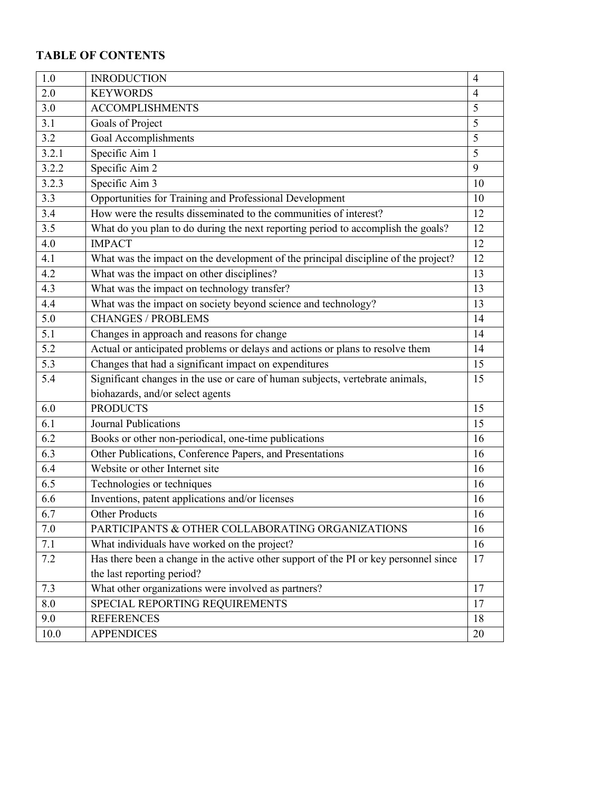# **TABLE OF CONTENTS**

| 1.0              | <b>INRODUCTION</b>                                                                   | $\overline{4}$ |
|------------------|--------------------------------------------------------------------------------------|----------------|
| 2.0              | <b>KEYWORDS</b>                                                                      | $\overline{4}$ |
| 3.0              | <b>ACCOMPLISHMENTS</b>                                                               | 5              |
| 3.1              | Goals of Project                                                                     | 5              |
| 3.2              | Goal Accomplishments                                                                 | 5              |
| 3.2.1            | Specific Aim 1                                                                       | 5              |
| 3.2.2            | Specific Aim $2$                                                                     | 9              |
| 3.2.3            | Specific Aim 3                                                                       | 10             |
| 3.3              | Opportunities for Training and Professional Development                              | 10             |
| 3.4              | How were the results disseminated to the communities of interest?                    | 12             |
| 3.5              | What do you plan to do during the next reporting period to accomplish the goals?     | 12             |
| 4.0              | <b>IMPACT</b>                                                                        | 12             |
| 4.1              | What was the impact on the development of the principal discipline of the project?   | 12             |
| 4.2              | What was the impact on other disciplines?                                            | 13             |
| 4.3              | What was the impact on technology transfer?                                          | 13             |
| 4.4              | What was the impact on society beyond science and technology?                        | 13             |
| 5.0              | <b>CHANGES / PROBLEMS</b>                                                            | 14             |
| $\overline{5.1}$ | Changes in approach and reasons for change                                           | 14             |
| 5.2              | Actual or anticipated problems or delays and actions or plans to resolve them        | 14             |
| $\overline{5.3}$ | Changes that had a significant impact on expenditures                                | 15             |
| 5.4              | Significant changes in the use or care of human subjects, vertebrate animals,        | 15             |
|                  | biohazards, and/or select agents                                                     |                |
| 6.0              | <b>PRODUCTS</b>                                                                      | 15             |
| 6.1              | <b>Journal Publications</b>                                                          | 15             |
| 6.2              | Books or other non-periodical, one-time publications                                 | 16             |
| 6.3              | Other Publications, Conference Papers, and Presentations                             | 16             |
| 6.4              | Website or other Internet site                                                       | 16             |
| $\overline{6.5}$ | Technologies or techniques                                                           | 16             |
| 6.6              | Inventions, patent applications and/or licenses                                      | 16             |
| 6.7              | <b>Other Products</b>                                                                | 16             |
| 7.0              | PARTICIPANTS & OTHER COLLABORATING ORGANIZATIONS                                     | 16             |
| 7.1              | What individuals have worked on the project?                                         | 16             |
| 7.2              | Has there been a change in the active other support of the PI or key personnel since | 17             |
|                  | the last reporting period?                                                           |                |
| 7.3              | What other organizations were involved as partners?                                  | 17             |
| 8.0              | SPECIAL REPORTING REQUIREMENTS                                                       | 17             |
| 9.0              | <b>REFERENCES</b>                                                                    | 18             |
| 10.0             | <b>APPENDICES</b>                                                                    | 20             |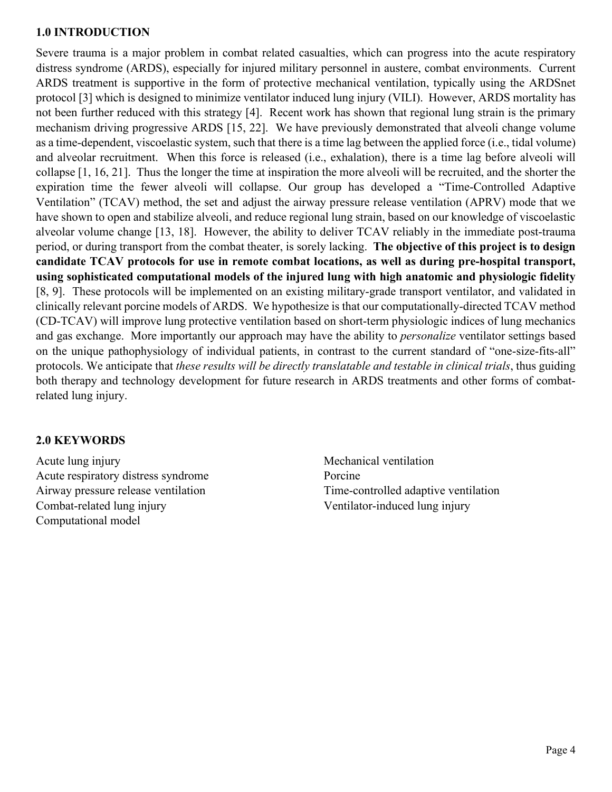#### **1.0 INTRODUCTION**

Severe trauma is a major problem in combat related casualties, which can progress into the acute respiratory distress syndrome (ARDS), especially for injured military personnel in austere, combat environments. Current ARDS treatment is supportive in the form of protective mechanical ventilation, typically using the ARDSnet protocol [3] which is designed to minimize ventilator induced lung injury (VILI). However, ARDS mortality has not been further reduced with this strategy [4]. Recent work has shown that regional lung strain is the primary mechanism driving progressive ARDS [15, 22]. We have previously demonstrated that alveoli change volume as a time-dependent, viscoelastic system, such that there is a time lag between the applied force (i.e., tidal volume) and alveolar recruitment. When this force is released (i.e., exhalation), there is a time lag before alveoli will collapse [1, 16, 21]. Thus the longer the time at inspiration the more alveoli will be recruited, and the shorter the expiration time the fewer alveoli will collapse. Our group has developed a "Time-Controlled Adaptive Ventilation" (TCAV) method, the set and adjust the airway pressure release ventilation (APRV) mode that we have shown to open and stabilize alveoli, and reduce regional lung strain, based on our knowledge of viscoelastic alveolar volume change [13, 18]. However, the ability to deliver TCAV reliably in the immediate post-trauma period, or during transport from the combat theater, is sorely lacking. **The objective of this project is to design candidate TCAV protocols for use in remote combat locations, as well as during pre-hospital transport, using sophisticated computational models of the injured lung with high anatomic and physiologic fidelity** [8, 9]. These protocols will be implemented on an existing military-grade transport ventilator, and validated in clinically relevant porcine models of ARDS. We hypothesize is that our computationally-directed TCAV method (CD-TCAV) will improve lung protective ventilation based on short-term physiologic indices of lung mechanics and gas exchange. More importantly our approach may have the ability to *personalize* ventilator settings based on the unique pathophysiology of individual patients, in contrast to the current standard of "one-size-fits-all" protocols. We anticipate that *these results will be directly translatable and testable in clinical trials*, thus guiding both therapy and technology development for future research in ARDS treatments and other forms of combatrelated lung injury.

### **2.0 KEYWORDS**

Acute lung injury Acute respiratory distress syndrome Airway pressure release ventilation Combat-related lung injury Computational model

Mechanical ventilation Porcine Time-controlled adaptive ventilation Ventilator-induced lung injury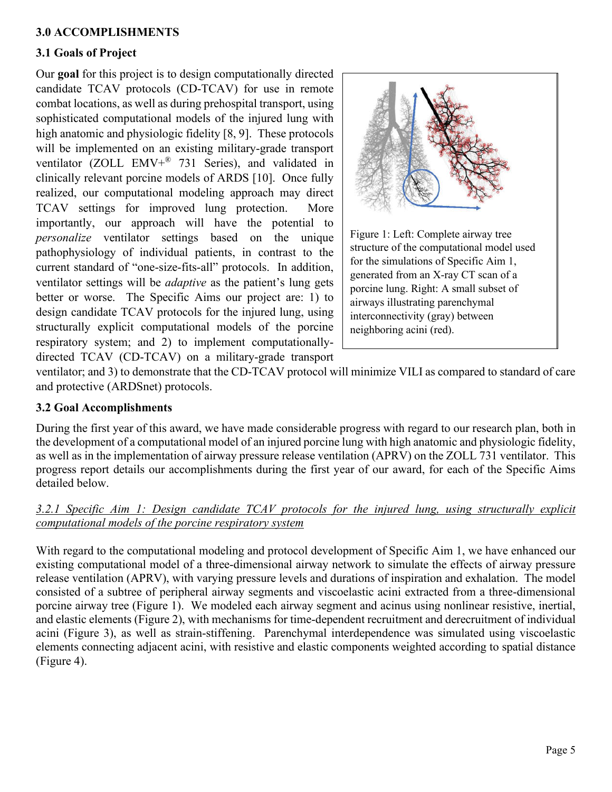## **3.0 ACCOMPLISHMENTS**

## **3.1 Goals of Project**

Our **goal** for this project is to design computationally directed candidate TCAV protocols (CD-TCAV) for use in remote combat locations, as well as during prehospital transport, using sophisticated computational models of the injured lung with high anatomic and physiologic fidelity [8, 9]. These protocols will be implemented on an existing military-grade transport ventilator (ZOLL EMV+® 731 Series), and validated in clinically relevant porcine models of ARDS [10]. Once fully realized, our computational modeling approach may direct TCAV settings for improved lung protection. More importantly, our approach will have the potential to *personalize* ventilator settings based on the unique pathophysiology of individual patients, in contrast to the current standard of "one-size-fits-all" protocols. In addition, ventilator settings will be *adaptive* as the patient's lung gets better or worse. The Specific Aims our project are: 1) to design candidate TCAV protocols for the injured lung, using structurally explicit computational models of the porcine respiratory system; and 2) to implement computationallydirected TCAV (CD-TCAV) on a military-grade transport



ventilator; and 3) to demonstrate that the CD-TCAV protocol will minimize VILI as compared to standard of care and protective (ARDSnet) protocols.

### **3.2 Goal Accomplishments**

During the first year of this award, we have made considerable progress with regard to our research plan, both in the development of a computational model of an injured porcine lung with high anatomic and physiologic fidelity, as well as in the implementation of airway pressure release ventilation (APRV) on the ZOLL 731 ventilator. This progress report details our accomplishments during the first year of our award, for each of the Specific Aims detailed below.

### *3.2.1 Specific Aim 1: Design candidate TCAV protocols for the injured lung, using structurally explicit computational models of the porcine respiratory system*

With regard to the computational modeling and protocol development of Specific Aim 1, we have enhanced our existing computational model of a three-dimensional airway network to simulate the effects of airway pressure release ventilation (APRV), with varying pressure levels and durations of inspiration and exhalation. The model consisted of a subtree of peripheral airway segments and viscoelastic acini extracted from a three-dimensional porcine airway tree (Figure 1). We modeled each airway segment and acinus using nonlinear resistive, inertial, and elastic elements (Figure 2), with mechanisms for time-dependent recruitment and derecruitment of individual acini (Figure 3), as well as strain-stiffening. Parenchymal interdependence was simulated using viscoelastic elements connecting adjacent acini, with resistive and elastic components weighted according to spatial distance (Figure 4).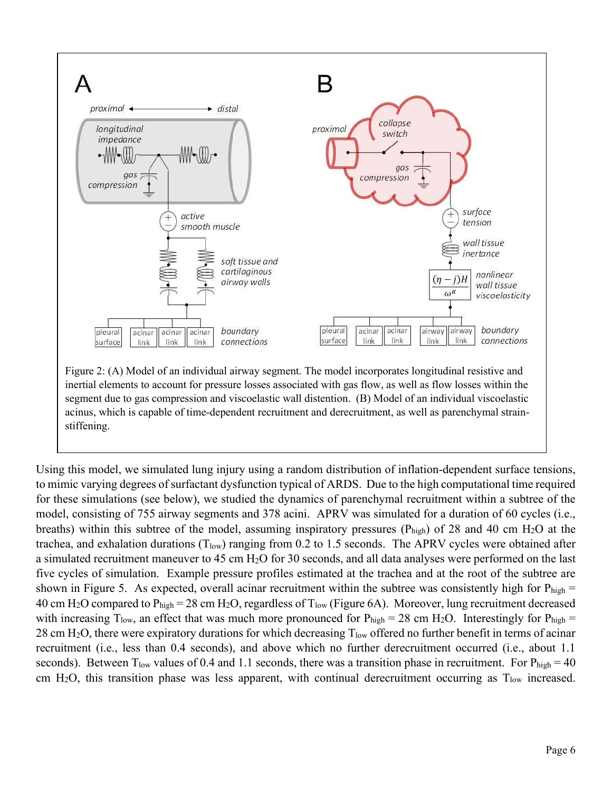

Using this model, we simulated lung injury using a random distribution of inflation-dependent surface tensions, to mimic varying degrees of surfactant dysfunction typical of ARDS. Due to the high computational time required for these simulations (see below), we studied the dynamics of parenchymal recruitment within a subtree of the model, consisting of 755 airway segments and 378 acini. APRV was simulated for a duration of 60 cycles (i.e., breaths) within this subtree of the model, assuming inspiratory pressures ( $P_{high}$ ) of 28 and 40 cm  $H_2O$  at the trachea, and exhalation durations  $(T_{low})$  ranging from 0.2 to 1.5 seconds. The APRV cycles were obtained after a simulated recruitment maneuver to 45 cm H2O for 30 seconds, and all data analyses were performed on the last five cycles of simulation. Example pressure profiles estimated at the trachea and at the root of the subtree are shown in Figure 5. As expected, overall acinar recruitment within the subtree was consistently high for  $P_{high}$  = 40 cm H<sub>2</sub>O compared to P<sub>high</sub> = 28 cm H<sub>2</sub>O, regardless of T<sub>low</sub> (Figure 6A). Moreover, lung recruitment decreased with increasing  $T_{low}$ , an effect that was much more pronounced for  $P_{high} = 28$  cm H<sub>2</sub>O. Interestingly for  $P_{high} =$ 28 cm H<sub>2</sub>O, there were expiratory durations for which decreasing  $T_{low}$  offered no further benefit in terms of acinar recruitment (i.e., less than 0.4 seconds), and above which no further derecruitment occurred (i.e., about 1.1 seconds). Between  $T_{low}$  values of 0.4 and 1.1 seconds, there was a transition phase in recruitment. For  $P_{high} = 40$ cm H<sub>2</sub>O, this transition phase was less apparent, with continual derecruitment occurring as  $T_{low}$  increased.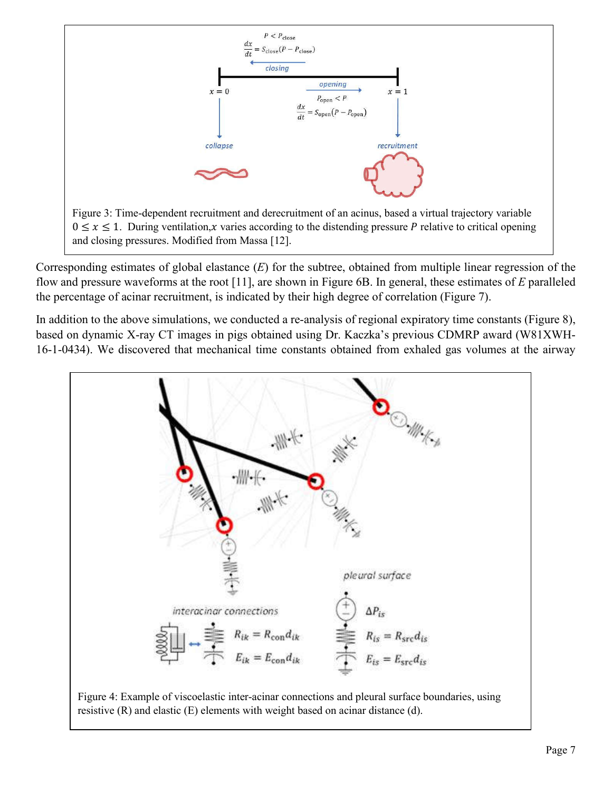

Corresponding estimates of global elastance (*E*) for the subtree, obtained from multiple linear regression of the flow and pressure waveforms at the root [11], are shown in Figure 6B. In general, these estimates of *E* paralleled the percentage of acinar recruitment, is indicated by their high degree of correlation (Figure 7).

In addition to the above simulations, we conducted a re-analysis of regional expiratory time constants (Figure 8), based on dynamic X-ray CT images in pigs obtained using Dr. Kaczka's previous CDMRP award (W81XWH-16-1-0434). We discovered that mechanical time constants obtained from exhaled gas volumes at the airway

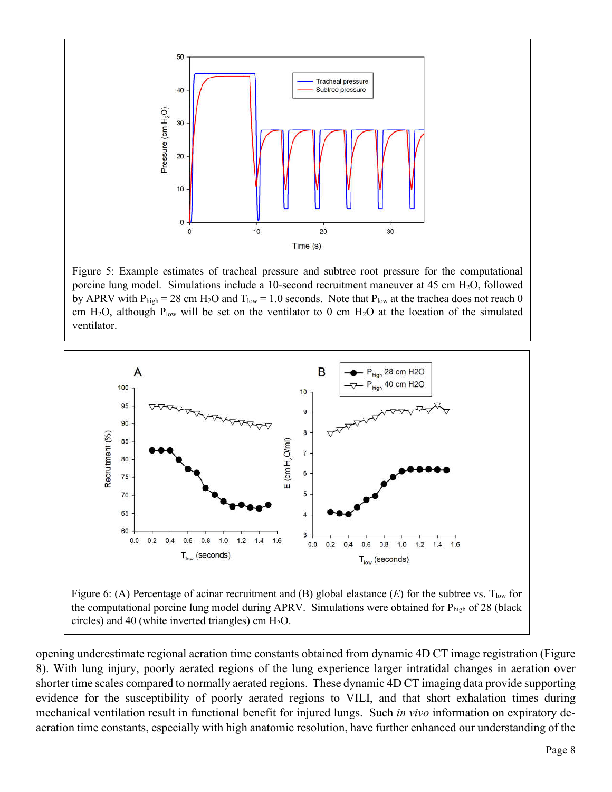

Figure 5: Example estimates of tracheal pressure and subtree root pressure for the computational porcine lung model. Simulations include a 10-second recruitment maneuver at 45 cm H2O, followed by APRV with  $P_{high} = 28$  cm H<sub>2</sub>O and  $T_{low} = 1.0$  seconds. Note that  $P_{low}$  at the trachea does not reach 0 cm H<sub>2</sub>O, although P<sub>low</sub> will be set on the ventilator to 0 cm H<sub>2</sub>O at the location of the simulated ventilator.



opening underestimate regional aeration time constants obtained from dynamic 4D CT image registration (Figure 8). With lung injury, poorly aerated regions of the lung experience larger intratidal changes in aeration over shorter time scales compared to normally aerated regions. These dynamic 4D CT imaging data provide supporting evidence for the susceptibility of poorly aerated regions to VILI, and that short exhalation times during mechanical ventilation result in functional benefit for injured lungs. Such *in vivo* information on expiratory deaeration time constants, especially with high anatomic resolution, have further enhanced our understanding of the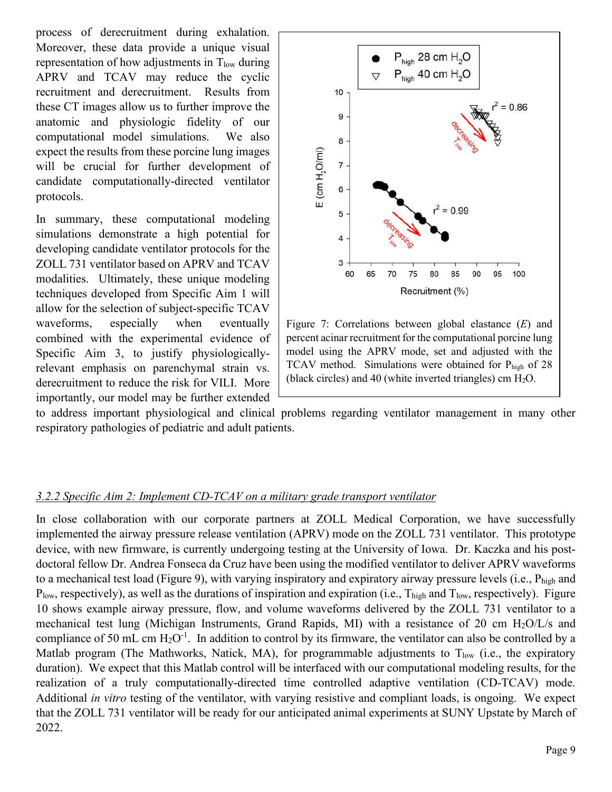process of derecruitment during exhalation. Moreover, these data provide a unique visual representation of how adjustments in  $T_{low}$  during APRV and TCAV may reduce the cyclic recruitment and derecruitment. Results from these CT images allow us to further improve the anatomic and physiologic fidelity of our computational model simulations. We also expect the results from these porcine lung images will be crucial for further development of candidate computationally-directed ventilator protocols.

In summary, these computational modeling simulations demonstrate a high potential for developing candidate ventilator protocols for the ZOLL 731 ventilator based on APRV and TCAV modalities. Ultimately, these unique modeling techniques developed from Specific Aim 1 will allow for the selection of subject-specific TCAV waveforms, especially when eventually combined with the experimental evidence of Specific Aim 3, to justify physiologicallyrelevant emphasis on parenchymal strain vs. derecruitment to reduce the risk for VILI. More importantly, our model may be further extended



Figure 7: Correlations between global elastance (*E*) and percent acinar recruitment for the computational porcine lung model using the APRV mode, set and adjusted with the TCAV method. Simulations were obtained for Phigh of 28 (black circles) and 40 (white inverted triangles) cm  $H_2O$ .

to address important physiological and clinical problems regarding ventilator management in many other respiratory pathologies of pediatric and adult patients.

### *3.2.2 Specific Aim 2: Implement CD-TCAV on a military grade transport ventilator*

In close collaboration with our corporate partners at ZOLL Medical Corporation, we have successfully implemented the airway pressure release ventilation (APRV) mode on the ZOLL 731 ventilator. This prototype device, with new firmware, is currently undergoing testing at the University of Iowa. Dr. Kaczka and his postdoctoral fellow Dr. Andrea Fonseca da Cruz have been using the modified ventilator to deliver APRV waveforms to a mechanical test load (Figure 9), with varying inspiratory and expiratory airway pressure levels (i.e., Phigh and  $P_{low}$ , respectively), as well as the durations of inspiration and expiration (i.e.,  $T_{high}$  and  $T_{low}$ , respectively). Figure 10 shows example airway pressure, flow, and volume waveforms delivered by the ZOLL 731 ventilator to a mechanical test lung (Michigan Instruments, Grand Rapids, MI) with a resistance of 20 cm  $H<sub>2</sub>O/L/s$  and compliance of 50 mL cm  $H_2O^{-1}$ . In addition to control by its firmware, the ventilator can also be controlled by a Matlab program (The Mathworks, Natick, MA), for programmable adjustments to  $T_{low}$  (i.e., the expiratory duration). We expect that this Matlab control will be interfaced with our computational modeling results, for the realization of a truly computationally-directed time controlled adaptive ventilation (CD-TCAV) mode. Additional *in vitro* testing of the ventilator, with varying resistive and compliant loads, is ongoing. We expect that the ZOLL 731 ventilator will be ready for our anticipated animal experiments at SUNY Upstate by March of 2022.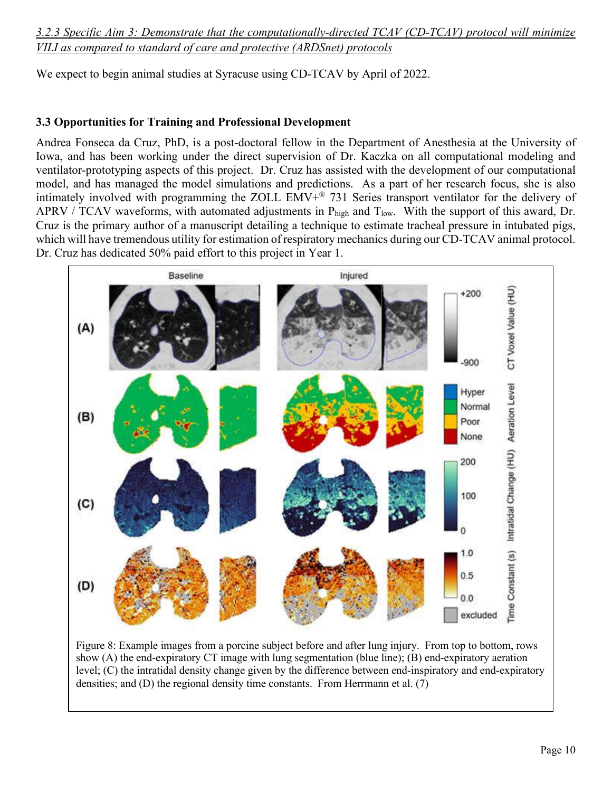*3.2.3 Specific Aim 3: Demonstrate that the computationally-directed TCAV (CD-TCAV) protocol will minimize VILI as compared to standard of care and protective (ARDSnet) protocols* 

We expect to begin animal studies at Syracuse using CD-TCAV by April of 2022.

# **3.3 Opportunities for Training and Professional Development**

Andrea Fonseca da Cruz, PhD, is a post-doctoral fellow in the Department of Anesthesia at the University of Iowa, and has been working under the direct supervision of Dr. Kaczka on all computational modeling and ventilator-prototyping aspects of this project. Dr. Cruz has assisted with the development of our computational model, and has managed the model simulations and predictions. As a part of her research focus, she is also intimately involved with programming the ZOLL EMV+® 731 Series transport ventilator for the delivery of APRV / TCAV waveforms, with automated adjustments in  $P_{high}$  and  $T_{low}$ . With the support of this award, Dr. Cruz is the primary author of a manuscript detailing a technique to estimate tracheal pressure in intubated pigs, which will have tremendous utility for estimation of respiratory mechanics during our CD-TCAV animal protocol. Dr. Cruz has dedicated 50% paid effort to this project in Year 1.



show (A) the end-expiratory CT image with lung segmentation (blue line); (B) end-expiratory aeration level; (C) the intratidal density change given by the difference between end-inspiratory and end-expiratory densities; and (D) the regional density time constants. From Herrmann et al. (7)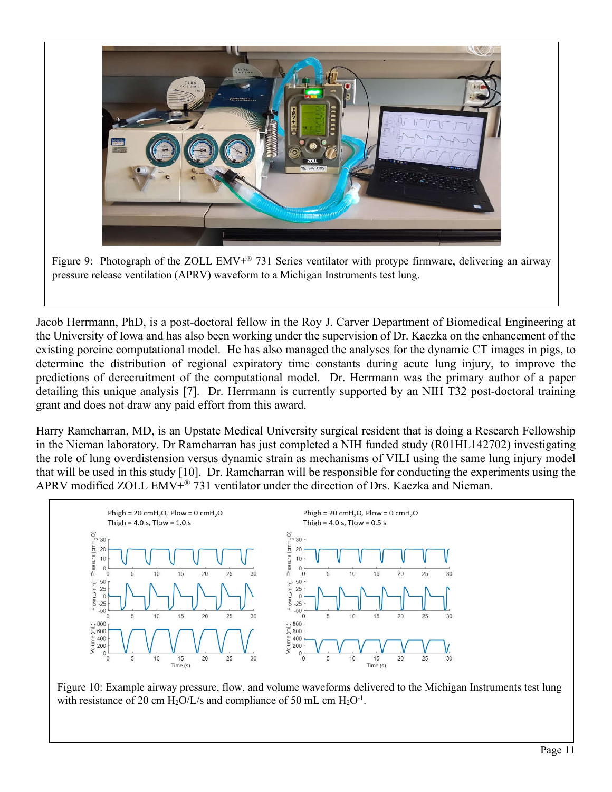

Figure 9: Photograph of the ZOLL EMV+® 731 Series ventilator with protype firmware, delivering an airway pressure release ventilation (APRV) waveform to a Michigan Instruments test lung.

Jacob Herrmann, PhD, is a post-doctoral fellow in the Roy J. Carver Department of Biomedical Engineering at the University of Iowa and has also been working under the supervision of Dr. Kaczka on the enhancement of the existing porcine computational model. He has also managed the analyses for the dynamic CT images in pigs, to determine the distribution of regional expiratory time constants during acute lung injury, to improve the predictions of derecruitment of the computational model. Dr. Herrmann was the primary author of a paper detailing this unique analysis [7]. Dr. Herrmann is currently supported by an NIH T32 post-doctoral training grant and does not draw any paid effort from this award.

Harry Ramcharran, MD, is an Upstate Medical University surgical resident that is doing a Research Fellowship in the Nieman laboratory. Dr Ramcharran has just completed a NIH funded study (R01HL142702) investigating the role of lung overdistension versus dynamic strain as mechanisms of VILI using the same lung injury model that will be used in this study [10]. Dr. Ramcharran will be responsible for conducting the experiments using the APRV modified ZOLL  $EMV^{\mathcal{R}}$  731 ventilator under the direction of Drs. Kaczka and Nieman.



Figure 10: Example airway pressure, flow, and volume waveforms delivered to the Michigan Instruments test lung with resistance of 20 cm  $H_2O/L/s$  and compliance of 50 mL cm  $H_2O<sup>-1</sup>$ .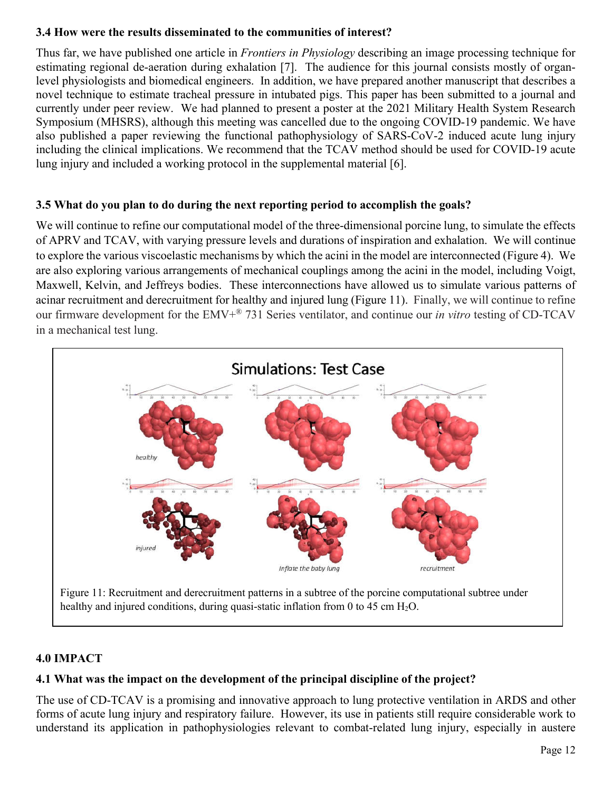## **3.4 How were the results disseminated to the communities of interest?**

Thus far, we have published one article in *Frontiers in Physiology* describing an image processing technique for estimating regional de-aeration during exhalation [7]. The audience for this journal consists mostly of organlevel physiologists and biomedical engineers. In addition, we have prepared another manuscript that describes a novel technique to estimate tracheal pressure in intubated pigs. This paper has been submitted to a journal and currently under peer review. We had planned to present a poster at the 2021 Military Health System Research Symposium (MHSRS), although this meeting was cancelled due to the ongoing COVID-19 pandemic. We have also published a paper reviewing the functional pathophysiology of SARS-CoV-2 induced acute lung injury including the clinical implications. We recommend that the TCAV method should be used for COVID-19 acute lung injury and included a working protocol in the supplemental material [6].

# **3.5 What do you plan to do during the next reporting period to accomplish the goals?**

We will continue to refine our computational model of the three-dimensional porcine lung, to simulate the effects of APRV and TCAV, with varying pressure levels and durations of inspiration and exhalation. We will continue to explore the various viscoelastic mechanisms by which the acini in the model are interconnected (Figure 4). We are also exploring various arrangements of mechanical couplings among the acini in the model, including Voigt, Maxwell, Kelvin, and Jeffreys bodies. These interconnections have allowed us to simulate various patterns of acinar recruitment and derecruitment for healthy and injured lung (Figure 11). Finally, we will continue to refine our firmware development for the EMV+® 731 Series ventilator, and continue our *in vitro* testing of CD-TCAV in a mechanical test lung.



### **4.0 IMPACT**

# **4.1 What was the impact on the development of the principal discipline of the project?**

The use of CD-TCAV is a promising and innovative approach to lung protective ventilation in ARDS and other forms of acute lung injury and respiratory failure. However, its use in patients still require considerable work to understand its application in pathophysiologies relevant to combat-related lung injury, especially in austere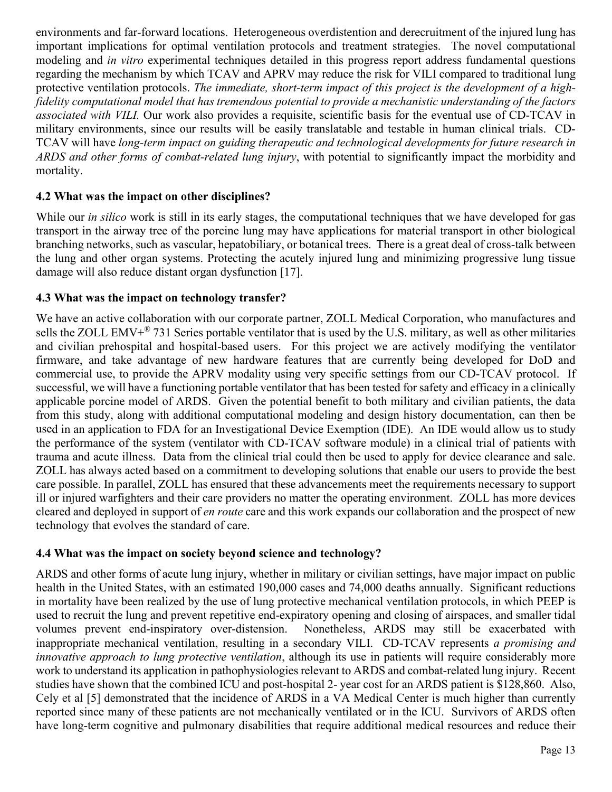environments and far-forward locations. Heterogeneous overdistention and derecruitment of the injured lung has important implications for optimal ventilation protocols and treatment strategies. The novel computational modeling and *in vitro* experimental techniques detailed in this progress report address fundamental questions regarding the mechanism by which TCAV and APRV may reduce the risk for VILI compared to traditional lung protective ventilation protocols. The immediate, short-term impact of this project is the development of a high*fidelity computational model that has tremendous potential to provide a mechanistic understanding of the factors associated with VILI.* Our work also provides a requisite, scientific basis for the eventual use of CD-TCAV in military environments, since our results will be easily translatable and testable in human clinical trials. CD-TCAV will have *long-term impact on guiding therapeutic and technological developments for future research in ARDS and other forms of combat-related lung injury*, with potential to significantly impact the morbidity and mortality.

## **4.2 What was the impact on other disciplines?**

While our *in silico* work is still in its early stages, the computational techniques that we have developed for gas transport in the airway tree of the porcine lung may have applications for material transport in other biological branching networks, such as vascular, hepatobiliary, or botanical trees. There is a great deal of cross-talk between the lung and other organ systems. Protecting the acutely injured lung and minimizing progressive lung tissue damage will also reduce distant organ dysfunction [17].

#### **4.3 What was the impact on technology transfer?**

We have an active collaboration with our corporate partner, ZOLL Medical Corporation, who manufactures and sells the ZOLL EMV $+^{\circ}$  731 Series portable ventilator that is used by the U.S. military, as well as other militaries and civilian prehospital and hospital-based users. For this project we are actively modifying the ventilator firmware, and take advantage of new hardware features that are currently being developed for DoD and commercial use, to provide the APRV modality using very specific settings from our CD-TCAV protocol. If successful, we will have a functioning portable ventilator that has been tested for safety and efficacy in a clinically applicable porcine model of ARDS. Given the potential benefit to both military and civilian patients, the data from this study, along with additional computational modeling and design history documentation, can then be used in an application to FDA for an Investigational Device Exemption (IDE). An IDE would allow us to study the performance of the system (ventilator with CD-TCAV software module) in a clinical trial of patients with trauma and acute illness. Data from the clinical trial could then be used to apply for device clearance and sale. ZOLL has always acted based on a commitment to developing solutions that enable our users to provide the best care possible. In parallel, ZOLL has ensured that these advancements meet the requirements necessary to support ill or injured warfighters and their care providers no matter the operating environment. ZOLL has more devices cleared and deployed in support of *en route* care and this work expands our collaboration and the prospect of new technology that evolves the standard of care.

#### **4.4 What was the impact on society beyond science and technology?**

ARDS and other forms of acute lung injury, whether in military or civilian settings, have major impact on public health in the United States, with an estimated 190,000 cases and 74,000 deaths annually. Significant reductions in mortality have been realized by the use of lung protective mechanical ventilation protocols, in which PEEP is used to recruit the lung and prevent repetitive end-expiratory opening and closing of airspaces, and smaller tidal volumes prevent end-inspiratory over-distension. Nonetheless, ARDS may still be exacerbated with inappropriate mechanical ventilation, resulting in a secondary VILI. CD-TCAV represents *a promising and innovative approach to lung protective ventilation*, although its use in patients will require considerably more work to understand its application in pathophysiologies relevant to ARDS and combat-related lung injury. Recent studies have shown that the combined ICU and post-hospital 2- year cost for an ARDS patient is \$128,860. Also, Cely et al [5] demonstrated that the incidence of ARDS in a VA Medical Center is much higher than currently reported since many of these patients are not mechanically ventilated or in the ICU. Survivors of ARDS often have long-term cognitive and pulmonary disabilities that require additional medical resources and reduce their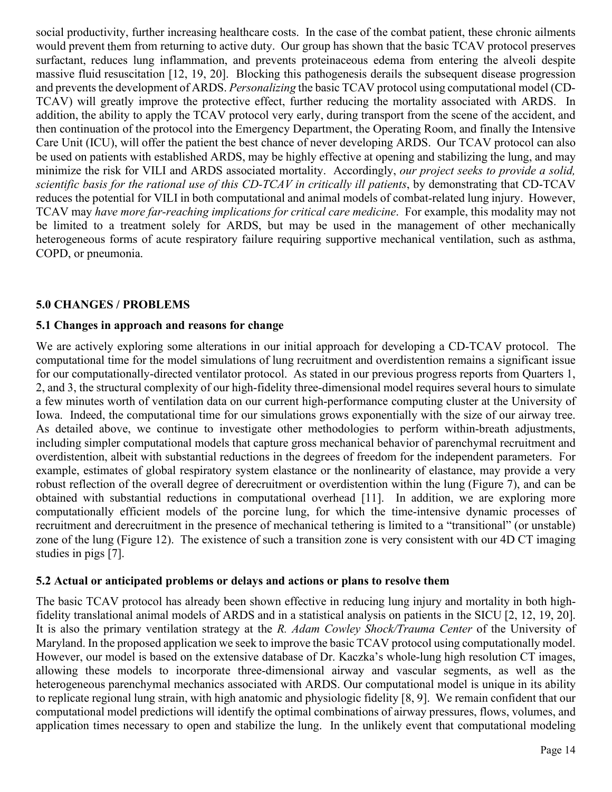social productivity, further increasing healthcare costs. In the case of the combat patient, these chronic ailments would prevent them from returning to active duty. Our group has shown that the basic TCAV protocol preserves surfactant, reduces lung inflammation, and prevents proteinaceous edema from entering the alveoli despite massive fluid resuscitation [12, 19, 20]. Blocking this pathogenesis derails the subsequent disease progression and prevents the development of ARDS. *Personalizing* the basic TCAV protocol using computational model (CD-TCAV) will greatly improve the protective effect, further reducing the mortality associated with ARDS. In addition, the ability to apply the TCAV protocol very early, during transport from the scene of the accident, and then continuation of the protocol into the Emergency Department, the Operating Room, and finally the Intensive Care Unit (ICU), will offer the patient the best chance of never developing ARDS. Our TCAV protocol can also be used on patients with established ARDS, may be highly effective at opening and stabilizing the lung, and may minimize the risk for VILI and ARDS associated mortality. Accordingly, *our project seeks to provide a solid, scientific basis for the rational use of this CD-TCAV in critically ill patients*, by demonstrating that CD-TCAV reduces the potential for VILI in both computational and animal models of combat-related lung injury. However, TCAV may *have more far-reaching implications for critical care medicine*. For example, this modality may not be limited to a treatment solely for ARDS, but may be used in the management of other mechanically heterogeneous forms of acute respiratory failure requiring supportive mechanical ventilation, such as asthma, COPD, or pneumonia.

### **5.0 CHANGES / PROBLEMS**

#### **5.1 Changes in approach and reasons for change**

We are actively exploring some alterations in our initial approach for developing a CD-TCAV protocol. The computational time for the model simulations of lung recruitment and overdistention remains a significant issue for our computationally-directed ventilator protocol. As stated in our previous progress reports from Quarters 1, 2, and 3, the structural complexity of our high-fidelity three-dimensional model requires several hours to simulate a few minutes worth of ventilation data on our current high-performance computing cluster at the University of Iowa. Indeed, the computational time for our simulations grows exponentially with the size of our airway tree. As detailed above, we continue to investigate other methodologies to perform within-breath adjustments, including simpler computational models that capture gross mechanical behavior of parenchymal recruitment and overdistention, albeit with substantial reductions in the degrees of freedom for the independent parameters. For example, estimates of global respiratory system elastance or the nonlinearity of elastance, may provide a very robust reflection of the overall degree of derecruitment or overdistention within the lung (Figure 7), and can be obtained with substantial reductions in computational overhead [11]. In addition, we are exploring more computationally efficient models of the porcine lung, for which the time-intensive dynamic processes of recruitment and derecruitment in the presence of mechanical tethering is limited to a "transitional" (or unstable) zone of the lung (Figure 12). The existence of such a transition zone is very consistent with our 4D CT imaging studies in pigs [7].

#### **5.2 Actual or anticipated problems or delays and actions or plans to resolve them**

The basic TCAV protocol has already been shown effective in reducing lung injury and mortality in both highfidelity translational animal models of ARDS and in a statistical analysis on patients in the SICU [2, 12, 19, 20]. It is also the primary ventilation strategy at the *R. Adam Cowley Shock/Trauma Center* of the University of Maryland. In the proposed application we seek to improve the basic TCAV protocol using computationally model. However, our model is based on the extensive database of Dr. Kaczka's whole-lung high resolution CT images, allowing these models to incorporate three-dimensional airway and vascular segments, as well as the heterogeneous parenchymal mechanics associated with ARDS. Our computational model is unique in its ability to replicate regional lung strain, with high anatomic and physiologic fidelity [8, 9]. We remain confident that our computational model predictions will identify the optimal combinations of airway pressures, flows, volumes, and application times necessary to open and stabilize the lung. In the unlikely event that computational modeling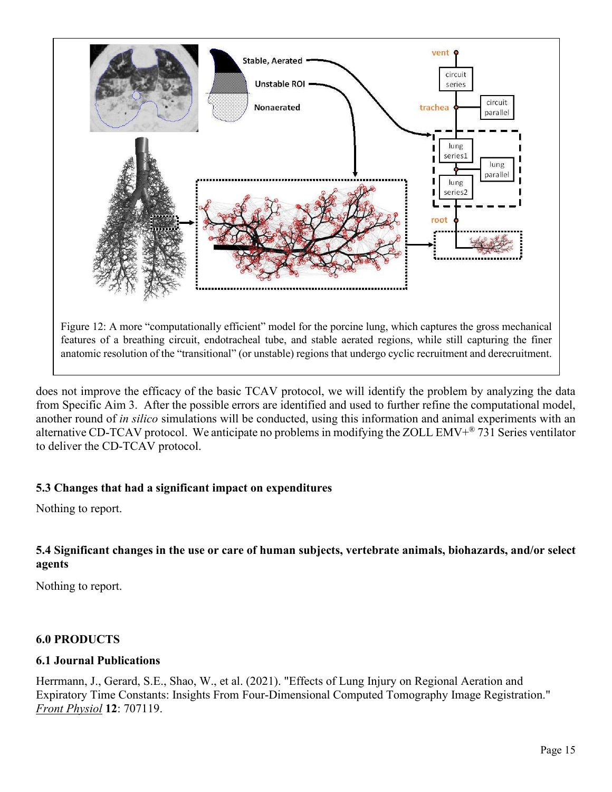

does not improve the efficacy of the basic TCAV protocol, we will identify the problem by analyzing the data from Specific Aim 3. After the possible errors are identified and used to further refine the computational model, another round of *in silico* simulations will be conducted, using this information and animal experiments with an alternative CD-TCAV protocol. We anticipate no problems in modifying the ZOLL EMV $+$ <sup>®</sup> 731 Series ventilator to deliver the CD-TCAV protocol.

### **5.3 Changes that had a significant impact on expenditures**

Nothing to report.

### **5.4 Significant changes in the use or care of human subjects, vertebrate animals, biohazards, and/or select agents**

Nothing to report.

#### **6.0 PRODUCTS**

#### **6.1 Journal Publications**

Herrmann, J., Gerard, S.E., Shao, W., et al. (2021). "Effects of Lung Injury on Regional Aeration and Expiratory Time Constants: Insights From Four-Dimensional Computed Tomography Image Registration." *Front Physiol* **12**: 707119.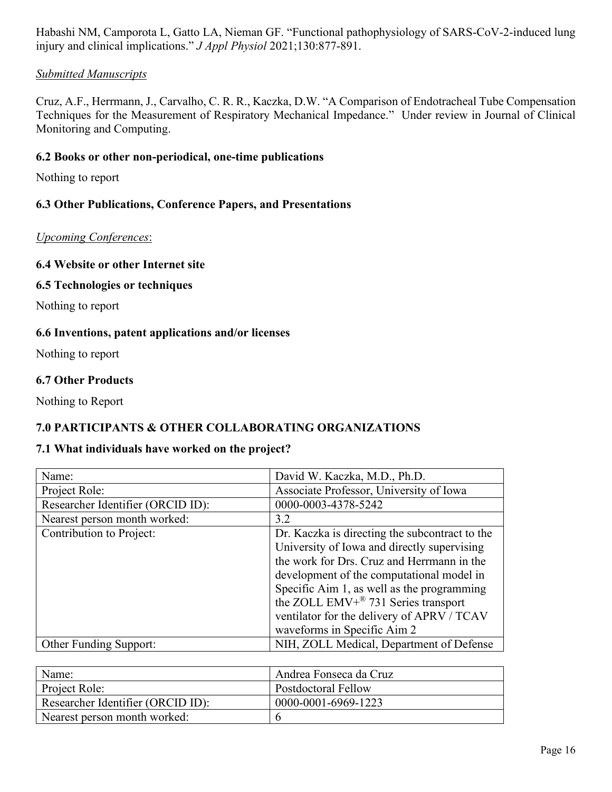Habashi NM, Camporota L, Gatto LA, Nieman GF. "Functional pathophysiology of SARS-CoV-2-induced lung injury and clinical implications." *J Appl Physiol* 2021;130:877-891.

## *Submitted Manuscripts*

Cruz, A.F., Herrmann, J., Carvalho, C. R. R., Kaczka, D.W. "A Comparison of Endotracheal Tube Compensation Techniques for the Measurement of Respiratory Mechanical Impedance." Under review in Journal of Clinical Monitoring and Computing.

## **6.2 Books or other non-periodical, one-time publications**

Nothing to report

## **6.3 Other Publications, Conference Papers, and Presentations**

#### *Upcoming Conferences*:

#### **6.4 Website or other Internet site**

#### **6.5 Technologies or techniques**

Nothing to report

#### **6.6 Inventions, patent applications and/or licenses**

Nothing to report

#### **6.7 Other Products**

Nothing to Report

# **7.0 PARTICIPANTS & OTHER COLLABORATING ORGANIZATIONS**

### **7.1 What individuals have worked on the project?**

| Name:                             | David W. Kaczka, M.D., Ph.D.                                                                                                                                                                                                                                                                                                                                           |
|-----------------------------------|------------------------------------------------------------------------------------------------------------------------------------------------------------------------------------------------------------------------------------------------------------------------------------------------------------------------------------------------------------------------|
| Project Role:                     | Associate Professor, University of Iowa                                                                                                                                                                                                                                                                                                                                |
| Researcher Identifier (ORCID ID): | 0000-0003-4378-5242                                                                                                                                                                                                                                                                                                                                                    |
| Nearest person month worked:      | 3.2                                                                                                                                                                                                                                                                                                                                                                    |
| Contribution to Project:          | Dr. Kaczka is directing the subcontract to the<br>University of Iowa and directly supervising<br>the work for Drs. Cruz and Herrmann in the<br>development of the computational model in<br>Specific Aim 1, as well as the programming<br>the ZOLL EMV+ <sup>®</sup> 731 Series transport<br>ventilator for the delivery of APRV / TCAV<br>waveforms in Specific Aim 2 |
| <b>Other Funding Support:</b>     | NIH, ZOLL Medical, Department of Defense                                                                                                                                                                                                                                                                                                                               |

| Name:                             | Andrea Fonseca da Cruz     |
|-----------------------------------|----------------------------|
| Project Role:                     | <b>Postdoctoral Fellow</b> |
| Researcher Identifier (ORCID ID): | 0000-0001-6969-1223        |
| Nearest person month worked:      |                            |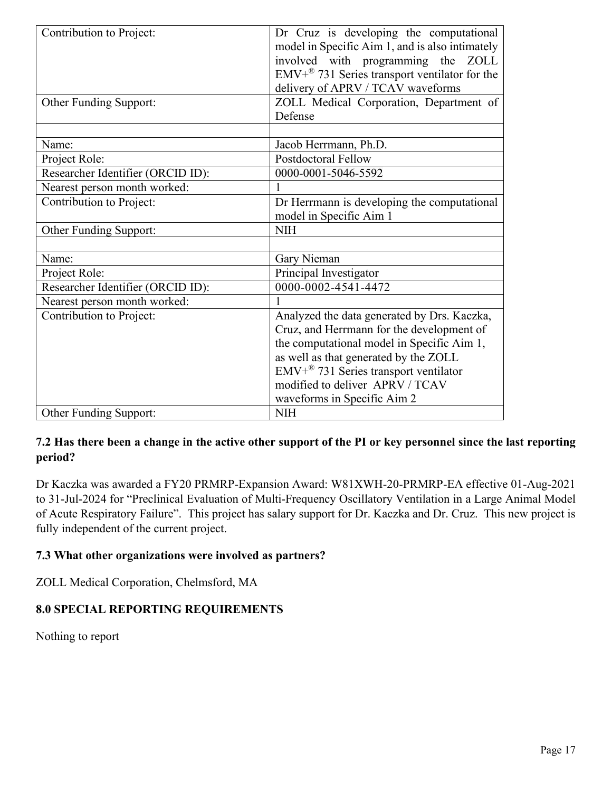| Contribution to Project:          | Dr Cruz is developing the computational<br>model in Specific Aim 1, and is also intimately<br>involved with programming the ZOLL<br>$EMV+^{\otimes}$ 731 Series transport ventilator for the<br>delivery of APRV / TCAV waveforms |
|-----------------------------------|-----------------------------------------------------------------------------------------------------------------------------------------------------------------------------------------------------------------------------------|
| Other Funding Support:            | ZOLL Medical Corporation, Department of                                                                                                                                                                                           |
|                                   | Defense                                                                                                                                                                                                                           |
|                                   |                                                                                                                                                                                                                                   |
| Name:                             | Jacob Herrmann, Ph.D.                                                                                                                                                                                                             |
| Project Role:                     | <b>Postdoctoral Fellow</b>                                                                                                                                                                                                        |
| Researcher Identifier (ORCID ID): | 0000-0001-5046-5592                                                                                                                                                                                                               |
| Nearest person month worked:      |                                                                                                                                                                                                                                   |
| Contribution to Project:          | Dr Herrmann is developing the computational                                                                                                                                                                                       |
|                                   | model in Specific Aim 1                                                                                                                                                                                                           |
| Other Funding Support:            | <b>NIH</b>                                                                                                                                                                                                                        |
|                                   |                                                                                                                                                                                                                                   |
| Name:                             | Gary Nieman                                                                                                                                                                                                                       |
| Project Role:                     | Principal Investigator                                                                                                                                                                                                            |
| Researcher Identifier (ORCID ID): | 0000-0002-4541-4472                                                                                                                                                                                                               |
| Nearest person month worked:      |                                                                                                                                                                                                                                   |
| Contribution to Project:          | Analyzed the data generated by Drs. Kaczka,                                                                                                                                                                                       |
|                                   | Cruz, and Herrmann for the development of                                                                                                                                                                                         |
|                                   | the computational model in Specific Aim 1,                                                                                                                                                                                        |
|                                   | as well as that generated by the ZOLL                                                                                                                                                                                             |
|                                   | $EMV+^{\circledR}$ 731 Series transport ventilator                                                                                                                                                                                |
|                                   | modified to deliver APRV / TCAV                                                                                                                                                                                                   |
|                                   | waveforms in Specific Aim 2                                                                                                                                                                                                       |
| <b>Other Funding Support:</b>     | <b>NIH</b>                                                                                                                                                                                                                        |

# **7.2 Has there been a change in the active other support of the PI or key personnel since the last reporting period?**

Dr Kaczka was awarded a FY20 PRMRP-Expansion Award: W81XWH-20-PRMRP-EA effective 01-Aug-2021 to 31-Jul-2024 for "Preclinical Evaluation of Multi-Frequency Oscillatory Ventilation in a Large Animal Model of Acute Respiratory Failure". This project has salary support for Dr. Kaczka and Dr. Cruz. This new project is fully independent of the current project.

# **7.3 What other organizations were involved as partners?**

ZOLL Medical Corporation, Chelmsford, MA

# **8.0 SPECIAL REPORTING REQUIREMENTS**

Nothing to report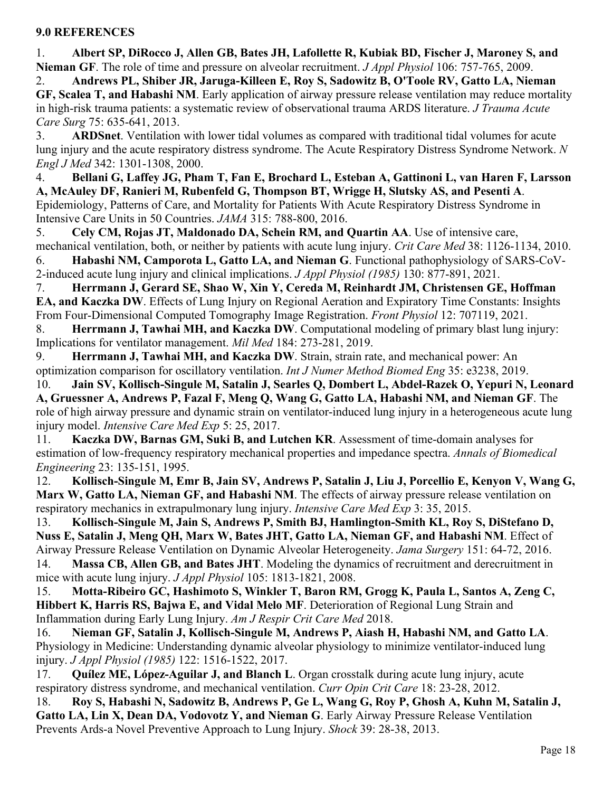#### **9.0 REFERENCES**

1. **Albert SP, DiRocco J, Allen GB, Bates JH, Lafollette R, Kubiak BD, Fischer J, Maroney S, and Nieman GF**. The role of time and pressure on alveolar recruitment. *J Appl Physiol* 106: 757-765, 2009.

2. **Andrews PL, Shiber JR, Jaruga-Killeen E, Roy S, Sadowitz B, O'Toole RV, Gatto LA, Nieman GF, Scalea T, and Habashi NM**. Early application of airway pressure release ventilation may reduce mortality in high-risk trauma patients: a systematic review of observational trauma ARDS literature. *J Trauma Acute Care Surg* 75: 635-641, 2013.

3. **ARDSnet**. Ventilation with lower tidal volumes as compared with traditional tidal volumes for acute lung injury and the acute respiratory distress syndrome. The Acute Respiratory Distress Syndrome Network. *N Engl J Med* 342: 1301-1308, 2000.

4. **Bellani G, Laffey JG, Pham T, Fan E, Brochard L, Esteban A, Gattinoni L, van Haren F, Larsson A, McAuley DF, Ranieri M, Rubenfeld G, Thompson BT, Wrigge H, Slutsky AS, and Pesenti A**. Epidemiology, Patterns of Care, and Mortality for Patients With Acute Respiratory Distress Syndrome in Intensive Care Units in 50 Countries. *JAMA* 315: 788-800, 2016.

5. **Cely CM, Rojas JT, Maldonado DA, Schein RM, and Quartin AA**. Use of intensive care, mechanical ventilation, both, or neither by patients with acute lung injury. *Crit Care Med* 38: 1126-1134, 2010. 6. **Habashi NM, Camporota L, Gatto LA, and Nieman G**. Functional pathophysiology of SARS-CoV-2-induced acute lung injury and clinical implications. *J Appl Physiol (1985)* 130: 877-891, 2021.

7. **Herrmann J, Gerard SE, Shao W, Xin Y, Cereda M, Reinhardt JM, Christensen GE, Hoffman EA, and Kaczka DW**. Effects of Lung Injury on Regional Aeration and Expiratory Time Constants: Insights From Four-Dimensional Computed Tomography Image Registration. *Front Physiol* 12: 707119, 2021.

8. **Herrmann J, Tawhai MH, and Kaczka DW**. Computational modeling of primary blast lung injury: Implications for ventilator management. *Mil Med* 184: 273-281, 2019.

9. **Herrmann J, Tawhai MH, and Kaczka DW**. Strain, strain rate, and mechanical power: An optimization comparison for oscillatory ventilation. *Int J Numer Method Biomed Eng* 35: e3238, 2019.

10. **Jain SV, Kollisch-Singule M, Satalin J, Searles Q, Dombert L, Abdel-Razek O, Yepuri N, Leonard A, Gruessner A, Andrews P, Fazal F, Meng Q, Wang G, Gatto LA, Habashi NM, and Nieman GF**. The role of high airway pressure and dynamic strain on ventilator-induced lung injury in a heterogeneous acute lung injury model. *Intensive Care Med Exp* 5: 25, 2017.

11. **Kaczka DW, Barnas GM, Suki B, and Lutchen KR**. Assessment of time-domain analyses for estimation of low-frequency respiratory mechanical properties and impedance spectra. *Annals of Biomedical Engineering* 23: 135-151, 1995.

12. **Kollisch-Singule M, Emr B, Jain SV, Andrews P, Satalin J, Liu J, Porcellio E, Kenyon V, Wang G, Marx W, Gatto LA, Nieman GF, and Habashi NM**. The effects of airway pressure release ventilation on respiratory mechanics in extrapulmonary lung injury. *Intensive Care Med Exp* 3: 35, 2015.

13. **Kollisch-Singule M, Jain S, Andrews P, Smith BJ, Hamlington-Smith KL, Roy S, DiStefano D, Nuss E, Satalin J, Meng QH, Marx W, Bates JHT, Gatto LA, Nieman GF, and Habashi NM**. Effect of Airway Pressure Release Ventilation on Dynamic Alveolar Heterogeneity. *Jama Surgery* 151: 64-72, 2016.

14. **Massa CB, Allen GB, and Bates JHT**. Modeling the dynamics of recruitment and derecruitment in mice with acute lung injury. *J Appl Physiol* 105: 1813-1821, 2008.

15. **Motta-Ribeiro GC, Hashimoto S, Winkler T, Baron RM, Grogg K, Paula L, Santos A, Zeng C, Hibbert K, Harris RS, Bajwa E, and Vidal Melo MF**. Deterioration of Regional Lung Strain and Inflammation during Early Lung Injury. *Am J Respir Crit Care Med* 2018.

16. **Nieman GF, Satalin J, Kollisch-Singule M, Andrews P, Aiash H, Habashi NM, and Gatto LA**. Physiology in Medicine: Understanding dynamic alveolar physiology to minimize ventilator-induced lung injury. *J Appl Physiol (1985)* 122: 1516-1522, 2017.

17. **Quílez ME, López-Aguilar J, and Blanch L**. Organ crosstalk during acute lung injury, acute respiratory distress syndrome, and mechanical ventilation. *Curr Opin Crit Care* 18: 23-28, 2012.

18. **Roy S, Habashi N, Sadowitz B, Andrews P, Ge L, Wang G, Roy P, Ghosh A, Kuhn M, Satalin J, Gatto LA, Lin X, Dean DA, Vodovotz Y, and Nieman G**. Early Airway Pressure Release Ventilation Prevents Ards-a Novel Preventive Approach to Lung Injury. *Shock* 39: 28-38, 2013.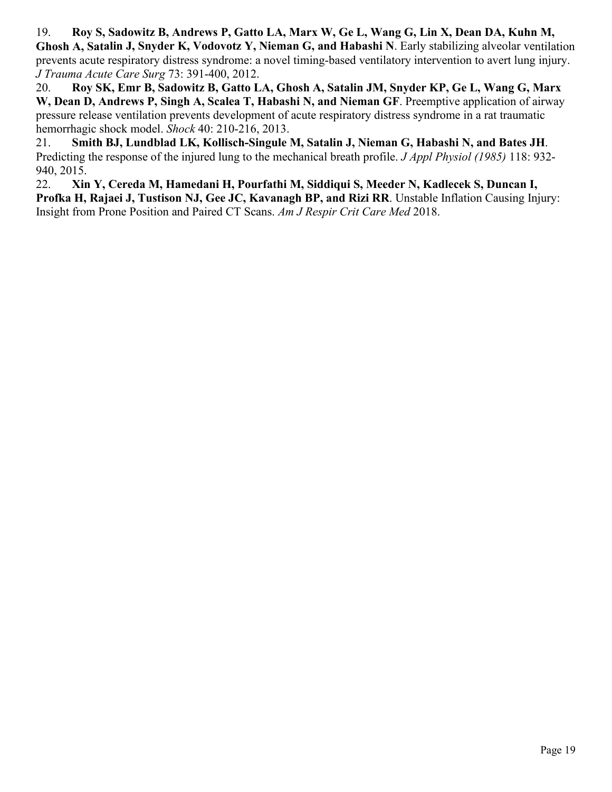19. **Roy S, Sadowitz B, Andrews P, Gatto LA, Marx W, Ge L, Wang G, Lin X, Dean DA, Kuhn M, Ghosh A, Satalin J, Snyder K, Vodovotz Y, Nieman G, and Habashi N**. Early stabilizing alveolar ventilation prevents acute respiratory distress syndrome: a novel timing-based ventilatory intervention to avert lung injury. *J Trauma Acute Care Surg* 73: 391-400, 2012.

20. **Roy SK, Emr B, Sadowitz B, Gatto LA, Ghosh A, Satalin JM, Snyder KP, Ge L, Wang G, Marx W, Dean D, Andrews P, Singh A, Scalea T, Habashi N, and Nieman GF**. Preemptive application of airway pressure release ventilation prevents development of acute respiratory distress syndrome in a rat traumatic hemorrhagic shock model. *Shock* 40: 210-216, 2013.

21. **Smith BJ, Lundblad LK, Kollisch-Singule M, Satalin J, Nieman G, Habashi N, and Bates JH**. Predicting the response of the injured lung to the mechanical breath profile. *J Appl Physiol (1985)* 118: 932- 940, 2015.

22. **Xin Y, Cereda M, Hamedani H, Pourfathi M, Siddiqui S, Meeder N, Kadlecek S, Duncan I, Profka H, Rajaei J, Tustison NJ, Gee JC, Kavanagh BP, and Rizi RR**. Unstable Inflation Causing Injury: Insight from Prone Position and Paired CT Scans. *Am J Respir Crit Care Med* 2018.